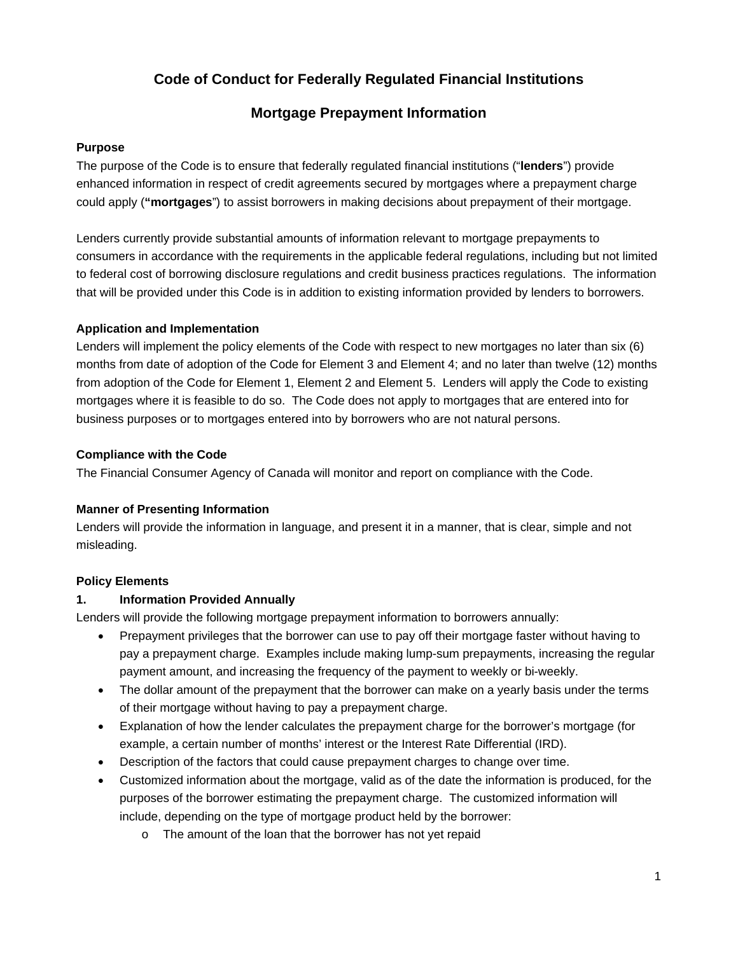# **Code of Conduct for Federally Regulated Financial Institutions**

# **Mortgage Prepayment Information**

#### **Purpose**

The purpose of the Code is to ensure that federally regulated financial institutions ("**lenders**") provide enhanced information in respect of credit agreements secured by mortgages where a prepayment charge could apply (**"mortgages**") to assist borrowers in making decisions about prepayment of their mortgage.

Lenders currently provide substantial amounts of information relevant to mortgage prepayments to consumers in accordance with the requirements in the applicable federal regulations, including but not limited to federal cost of borrowing disclosure regulations and credit business practices regulations. The information that will be provided under this Code is in addition to existing information provided by lenders to borrowers.

## **Application and Implementation**

Lenders will implement the policy elements of the Code with respect to new mortgages no later than six (6) months from date of adoption of the Code for Element 3 and Element 4; and no later than twelve (12) months from adoption of the Code for Element 1, Element 2 and Element 5. Lenders will apply the Code to existing mortgages where it is feasible to do so. The Code does not apply to mortgages that are entered into for business purposes or to mortgages entered into by borrowers who are not natural persons.

## **Compliance with the Code**

The Financial Consumer Agency of Canada will monitor and report on compliance with the Code.

#### **Manner of Presenting Information**

Lenders will provide the information in language, and present it in a manner, that is clear, simple and not misleading.

#### **Policy Elements**

#### **1. Information Provided Annually**

Lenders will provide the following mortgage prepayment information to borrowers annually:

- Prepayment privileges that the borrower can use to pay off their mortgage faster without having to pay a prepayment charge. Examples include making lump-sum prepayments, increasing the regular payment amount, and increasing the frequency of the payment to weekly or bi-weekly.
- The dollar amount of the prepayment that the borrower can make on a yearly basis under the terms of their mortgage without having to pay a prepayment charge.
- Explanation of how the lender calculates the prepayment charge for the borrower's mortgage (for example, a certain number of months' interest or the Interest Rate Differential (IRD).
- Description of the factors that could cause prepayment charges to change over time.
- Customized information about the mortgage, valid as of the date the information is produced, for the purposes of the borrower estimating the prepayment charge. The customized information will include, depending on the type of mortgage product held by the borrower:
	- o The amount of the loan that the borrower has not yet repaid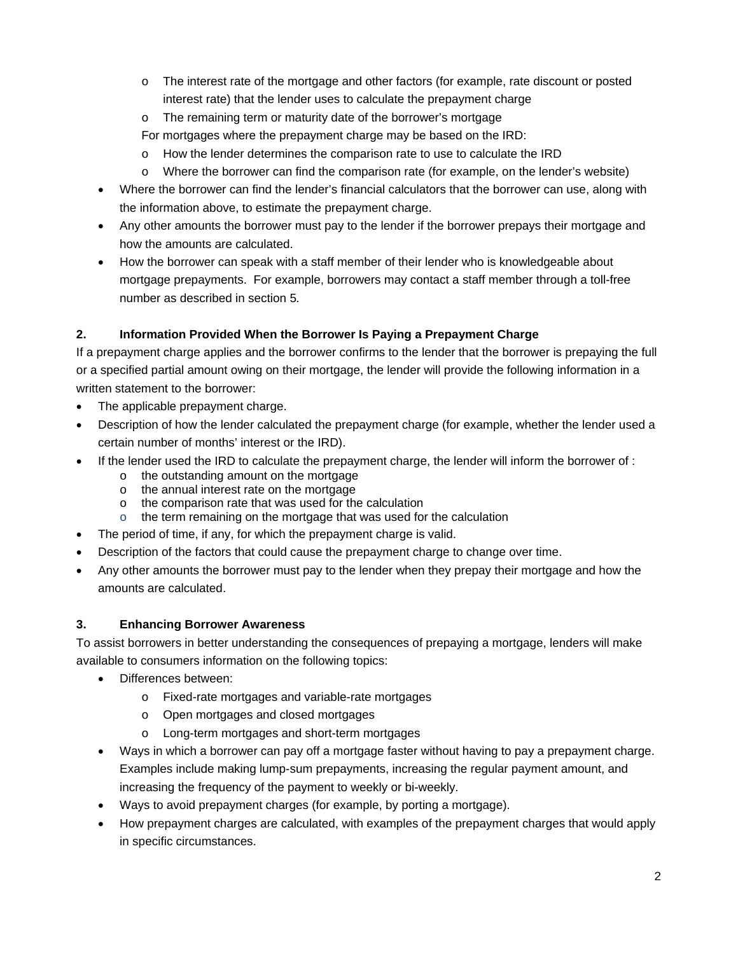- o The interest rate of the mortgage and other factors (for example, rate discount or posted interest rate) that the lender uses to calculate the prepayment charge
- o The remaining term or maturity date of the borrower's mortgage
- For mortgages where the prepayment charge may be based on the IRD:
- o How the lender determines the comparison rate to use to calculate the IRD
- o Where the borrower can find the comparison rate (for example, on the lender's website)
- Where the borrower can find the lender's financial calculators that the borrower can use, along with the information above, to estimate the prepayment charge.
- Any other amounts the borrower must pay to the lender if the borrower prepays their mortgage and how the amounts are calculated.
- How the borrower can speak with a staff member of their lender who is knowledgeable about mortgage prepayments. For example, borrowers may contact a staff member through a toll-free number as described in section 5*.*

# **2. Information Provided When the Borrower Is Paying a Prepayment Charge**

If a prepayment charge applies and the borrower confirms to the lender that the borrower is prepaying the full or a specified partial amount owing on their mortgage, the lender will provide the following information in a written statement to the borrower:

- The applicable prepayment charge.
- Description of how the lender calculated the prepayment charge (for example, whether the lender used a certain number of months' interest or the IRD).
- If the lender used the IRD to calculate the prepayment charge, the lender will inform the borrower of :
	- o the outstanding amount on the mortgage
	- o the annual interest rate on the mortgage
	- o the comparison rate that was used for the calculation
	- o the term remaining on the mortgage that was used for the calculation
- The period of time, if any, for which the prepayment charge is valid.
- Description of the factors that could cause the prepayment charge to change over time.
- Any other amounts the borrower must pay to the lender when they prepay their mortgage and how the amounts are calculated.

# **3. Enhancing Borrower Awareness**

To assist borrowers in better understanding the consequences of prepaying a mortgage, lenders will make available to consumers information on the following topics:

- Differences between:
	- o Fixed-rate mortgages and variable-rate mortgages
	- o Open mortgages and closed mortgages
	- o Long-term mortgages and short-term mortgages
- Ways in which a borrower can pay off a mortgage faster without having to pay a prepayment charge. Examples include making lump-sum prepayments, increasing the regular payment amount, and increasing the frequency of the payment to weekly or bi-weekly.
- Ways to avoid prepayment charges (for example, by porting a mortgage).
- How prepayment charges are calculated, with examples of the prepayment charges that would apply in specific circumstances.